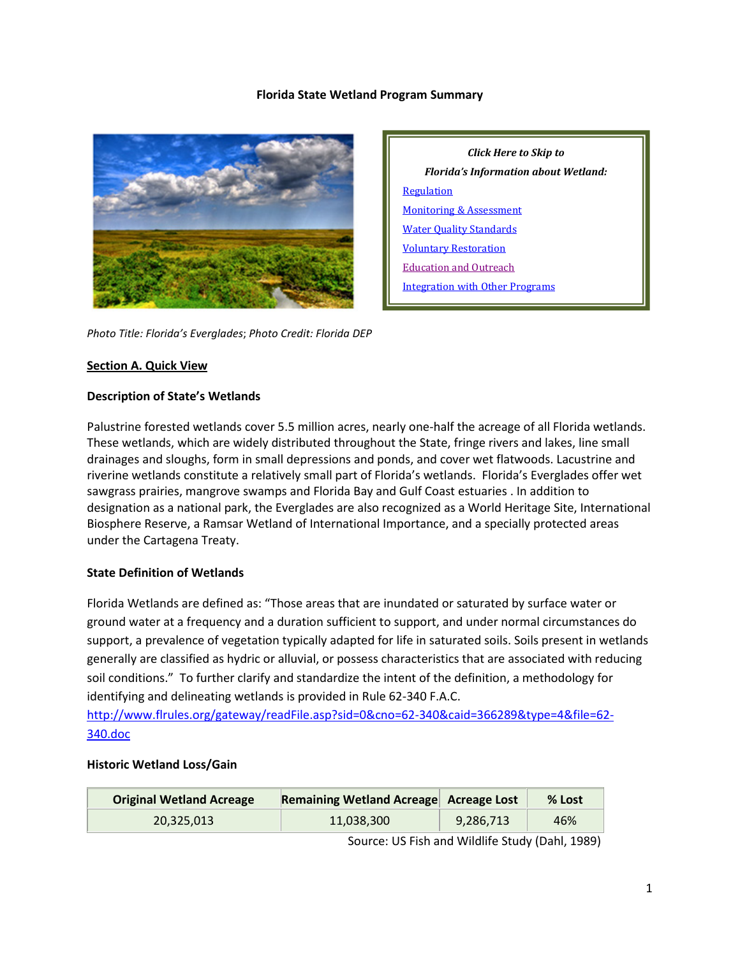#### **Florida State Wetland Program Summary**



*Click Here to Skip to Florida's Information about Wetland:* **[Regulation](#page-2-0)** [Monitoring & Assessment](#page-7-0) [Water Quality Standards](#page-10-0) [Voluntary Restoration](#page-11-0) [Education and Outreach](#page-13-0) [Integration with Other Programs](#page-14-0)

*Photo Title: Florida's Everglades*; *Photo Credit: Florida DEP*

#### **Section A. Quick View**

#### **Description of State's Wetlands**

Palustrine forested wetlands cover 5.5 million acres, nearly one-half the acreage of all Florida wetlands. These wetlands, which are widely distributed throughout the State, fringe rivers and lakes, line small drainages and sloughs, form in small depressions and ponds, and cover wet flatwoods. Lacustrine and riverine wetlands constitute a relatively small part of Florida's wetlands. Florida's Everglades offer wet sawgrass prairies, mangrove swamps and Florida Bay and Gulf Coast estuaries . In addition to designation as a national park, the Everglades are also recognized as a World Heritage Site, International Biosphere Reserve, a Ramsar Wetland of International Importance, and a specially protected areas under the Cartagena Treaty.

### **State Definition of Wetlands**

Florida Wetlands are defined as: "Those areas that are inundated or saturated by surface water or ground water at a frequency and a duration sufficient to support, and under normal circumstances do support, a prevalence of vegetation typically adapted for life in saturated soils. Soils present in wetlands generally are classified as hydric or alluvial, or possess characteristics that are associated with reducing soil conditions." To further clarify and standardize the intent of the definition, a methodology for identifying and delineating wetlands is provided in Rule 62-340 F.A.C.

[http://www.flrules.org/gateway/readFile.asp?sid=0&cno=62-340&caid=366289&type=4&file=62-](http://www.flrules.org/gateway/readFile.asp?sid=0&cno=62-340&caid=366289&type=4&file=62-340.doc) [340.doc](http://www.flrules.org/gateway/readFile.asp?sid=0&cno=62-340&caid=366289&type=4&file=62-340.doc)

#### **Historic Wetland Loss/Gain**

| <b>Original Wetland Acreage</b> | Remaining Wetland Acreage Acreage Lost |           | % Lost |
|---------------------------------|----------------------------------------|-----------|--------|
| 20.325.013                      | 11.038.300                             | 9,286,713 | 46%    |

Source: US Fish and Wildlife Study (Dahl, 1989)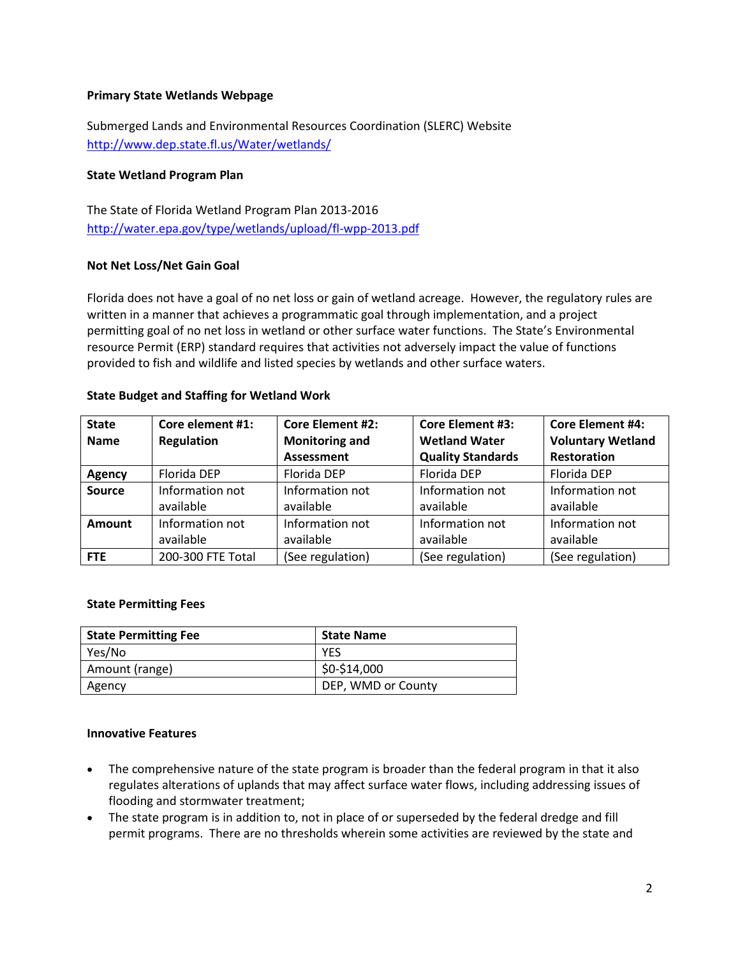### **Primary State Wetlands Webpage**

Submerged Lands and Environmental Resources Coordination (SLERC) Website <http://www.dep.state.fl.us/Water/wetlands/>

## **State Wetland Program Plan**

The State of Florida Wetland Program Plan 2013-2016 <http://water.epa.gov/type/wetlands/upload/fl-wpp-2013.pdf>

## **Not Net Loss/Net Gain Goal**

Florida does not have a goal of no net loss or gain of wetland acreage. However, the regulatory rules are written in a manner that achieves a programmatic goal through implementation, and a project permitting goal of no net loss in wetland or other surface water functions. The State's Environmental resource Permit (ERP) standard requires that activities not adversely impact the value of functions provided to fish and wildlife and listed species by wetlands and other surface waters.

## **State Budget and Staffing for Wetland Work**

| <b>State</b>  | Core element #1:  | <b>Core Element #2:</b> | <b>Core Element #3:</b>  | <b>Core Element #4:</b>  |
|---------------|-------------------|-------------------------|--------------------------|--------------------------|
| <b>Name</b>   | Regulation        | <b>Monitoring and</b>   | <b>Wetland Water</b>     | <b>Voluntary Wetland</b> |
|               |                   | <b>Assessment</b>       | <b>Quality Standards</b> | <b>Restoration</b>       |
| Agency        | Florida DEP       | Florida DEP             | Florida DEP              | Florida DEP              |
| <b>Source</b> | Information not   | Information not         | Information not          | Information not          |
|               | available         | available               | available                | available                |
| Amount        | Information not   | Information not         | Information not          | Information not          |
|               | available         | available               | available                | available                |
| <b>FTE</b>    | 200-300 FTE Total | (See regulation)        | (See regulation)         | (See regulation)         |

### **State Permitting Fees**

| <b>State Permitting Fee</b> | <b>State Name</b>  |
|-----------------------------|--------------------|
| Yes/No                      | YES                |
| Amount (range)              | \$0-\$14,000       |
| Agency                      | DEP, WMD or County |

### **Innovative Features**

- The comprehensive nature of the state program is broader than the federal program in that it also regulates alterations of uplands that may affect surface water flows, including addressing issues of flooding and stormwater treatment;
- The state program is in addition to, not in place of or superseded by the federal dredge and fill permit programs. There are no thresholds wherein some activities are reviewed by the state and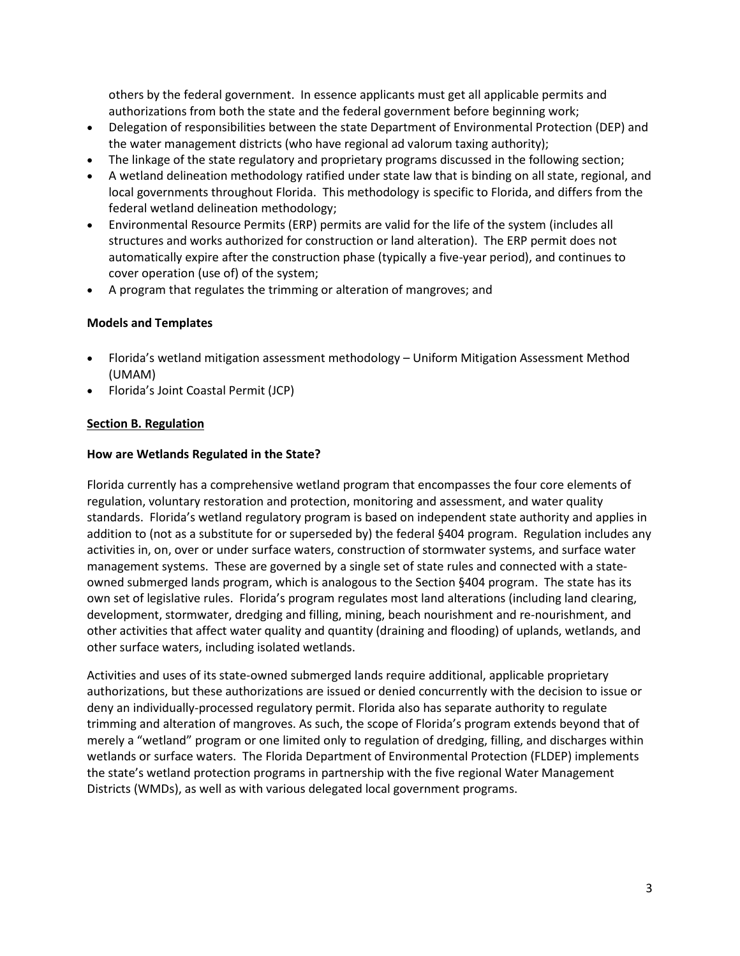others by the federal government. In essence applicants must get all applicable permits and authorizations from both the state and the federal government before beginning work;

- Delegation of responsibilities between the state Department of Environmental Protection (DEP) and the water management districts (who have regional ad valorum taxing authority);
- The linkage of the state regulatory and proprietary programs discussed in the following section;
- A wetland delineation methodology ratified under state law that is binding on all state, regional, and local governments throughout Florida. This methodology is specific to Florida, and differs from the federal wetland delineation methodology;
- Environmental Resource Permits (ERP) permits are valid for the life of the system (includes all structures and works authorized for construction or land alteration). The ERP permit does not automatically expire after the construction phase (typically a five-year period), and continues to cover operation (use of) of the system;
- A program that regulates the trimming or alteration of mangroves; and

## **Models and Templates**

- Florida's wetland mitigation assessment methodology Uniform Mitigation Assessment Method (UMAM)
- Florida's Joint Coastal Permit (JCP)

## <span id="page-2-0"></span>**Section B. Regulation**

### **How are Wetlands Regulated in the State?**

Florida currently has a comprehensive wetland program that encompasses the four core elements of regulation, voluntary restoration and protection, monitoring and assessment, and water quality standards. Florida's wetland regulatory program is based on independent state authority and applies in addition to (not as a substitute for or superseded by) the federal §404 program. Regulation includes any activities in, on, over or under surface waters, construction of stormwater systems, and surface water management systems. These are governed by a single set of state rules and connected with a stateowned submerged lands program, which is analogous to the Section §404 program. The state has its own set of legislative rules. Florida's program regulates most land alterations (including land clearing, development, stormwater, dredging and filling, mining, beach nourishment and re-nourishment, and other activities that affect water quality and quantity (draining and flooding) of uplands, wetlands, and other surface waters, including isolated wetlands.

Activities and uses of its state-owned submerged lands require additional, applicable proprietary authorizations, but these authorizations are issued or denied concurrently with the decision to issue or deny an individually-processed regulatory permit. Florida also has separate authority to regulate trimming and alteration of mangroves. As such, the scope of Florida's program extends beyond that of merely a "wetland" program or one limited only to regulation of dredging, filling, and discharges within wetlands or surface waters. The Florida Department of Environmental Protection (FLDEP) implements the state's wetland protection programs in partnership with the five regional Water Management Districts (WMDs), as well as with various delegated local government programs.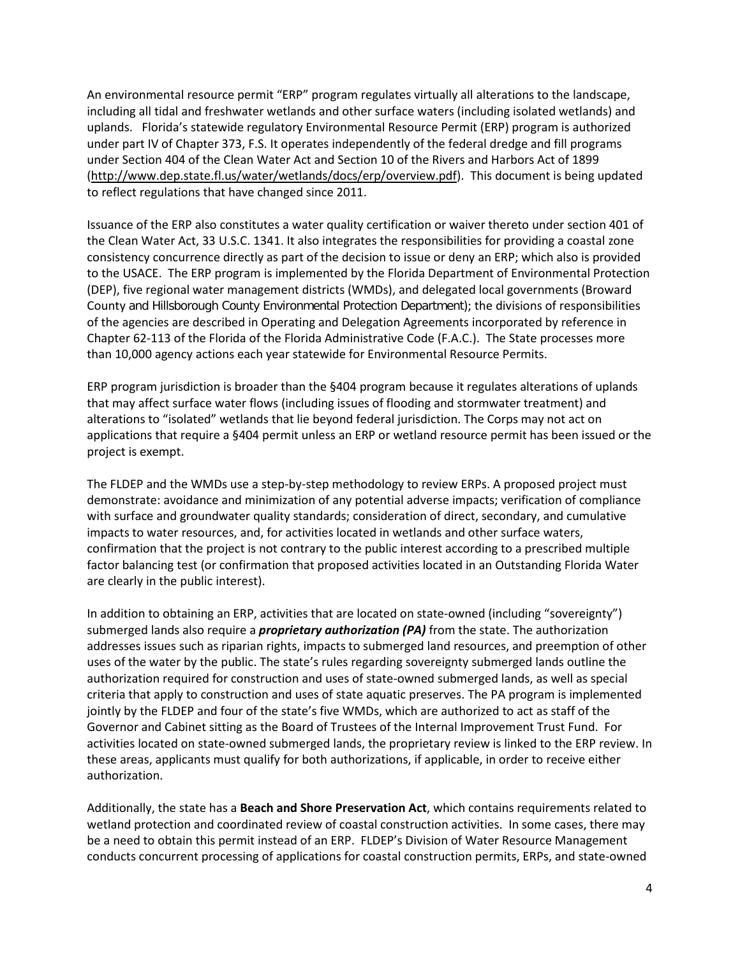An environmental resource permit "ERP" program regulates virtually all alterations to the landscape, including all tidal and freshwater wetlands and other surface waters (including isolated wetlands) and uplands. Florida's statewide regulatory Environmental Resource Permit (ERP) program is authorized under part IV of Chapter 373, F.S. It operates independently of the federal dredge and fill programs under Section 404 of the Clean Water Act and Section 10 of the Rivers and Harbors Act of 1899 [\(http://www.dep.state.fl.us/water/wetlands/docs/erp/overview.pdf\)](http://www.dep.state.fl.us/water/wetlands/docs/erp/overview.pdf). This document is being updated to reflect regulations that have changed since 2011.

Issuance of the ERP also constitutes a water quality certification or waiver thereto under section 401 of the Clean Water Act, 33 U.S.C. 1341. It also integrates the responsibilities for providing a coastal zone consistency concurrence directly as part of the decision to issue or deny an ERP; which also is provided to the USACE. The ERP program is implemented by the Florida Department of Environmental Protection (DEP), five regional water management districts (WMDs), and delegated local governments (Broward County and Hillsborough County Environmental Protection Department); the divisions of responsibilities of the agencies are described in Operating and Delegation Agreements incorporated by reference in Chapter 62-113 of the Florida of the Florida Administrative Code (F.A.C.). The State processes more than 10,000 agency actions each year statewide for Environmental Resource Permits.

ERP program jurisdiction is broader than the §404 program because it regulates alterations of uplands that may affect surface water flows (including issues of flooding and stormwater treatment) and alterations to "isolated" wetlands that lie beyond federal jurisdiction. The Corps may not act on applications that require a §404 permit unless an ERP or wetland resource permit has been issued or the project is exempt.

The FLDEP and the WMDs use a step-by-step methodology to review ERPs. A proposed project must demonstrate: avoidance and minimization of any potential adverse impacts; verification of compliance with surface and groundwater quality standards; consideration of direct, secondary, and cumulative impacts to water resources, and, for activities located in wetlands and other surface waters, confirmation that the project is not contrary to the public interest according to a prescribed multiple factor balancing test (or confirmation that proposed activities located in an Outstanding Florida Water are clearly in the public interest).

In addition to obtaining an ERP, activities that are located on state-owned (including "sovereignty") submerged lands also require a *proprietary authorization (PA)* from the state. The authorization addresses issues such as riparian rights, impacts to submerged land resources, and preemption of other uses of the water by the public. The state's rules regarding sovereignty submerged lands outline the authorization required for construction and uses of state-owned submerged lands, as well as special criteria that apply to construction and uses of state aquatic preserves. The PA program is implemented jointly by the FLDEP and four of the state's five WMDs, which are authorized to act as staff of the Governor and Cabinet sitting as the Board of Trustees of the Internal Improvement Trust Fund. For activities located on state-owned submerged lands, the proprietary review is linked to the ERP review. In these areas, applicants must qualify for both authorizations, if applicable, in order to receive either authorization.

Additionally, the state has a **Beach and Shore Preservation Act**, which contains requirements related to wetland protection and coordinated review of coastal construction activities. In some cases, there may be a need to obtain this permit instead of an ERP. FLDEP's Division of Water Resource Management conducts concurrent processing of applications for coastal construction permits, ERPs, and state-owned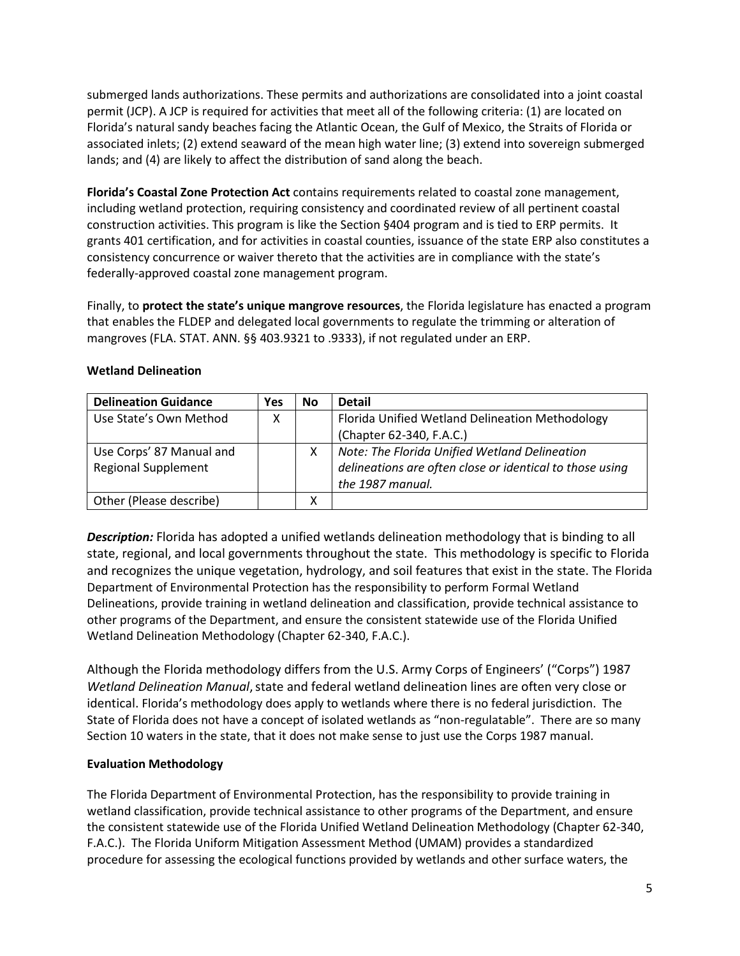submerged lands authorizations. These permits and authorizations are consolidated into a joint coastal permit (JCP). A JCP is required for activities that meet all of the following criteria: (1) are located on Florida's natural sandy beaches facing the Atlantic Ocean, the Gulf of Mexico, the Straits of Florida or associated inlets; (2) extend seaward of the mean high water line; (3) extend into sovereign submerged lands; and (4) are likely to affect the distribution of sand along the beach.

**Florida's Coastal Zone Protection Act** contains requirements related to coastal zone management, including wetland protection, requiring consistency and coordinated review of all pertinent coastal construction activities. This program is like the Section §404 program and is tied to ERP permits. It grants 401 certification, and for activities in coastal counties, issuance of the state ERP also constitutes a consistency concurrence or waiver thereto that the activities are in compliance with the state's federally-approved coastal zone management program.

Finally, to **protect the state's unique mangrove resources**, the Florida legislature has enacted a program that enables the FLDEP and delegated local governments to regulate the trimming or alteration of mangroves (FLA. STAT. ANN. §§ 403.9321 to .9333), if not regulated under an ERP.

| <b>Delineation Guidance</b> | Yes | No | <b>Detail</b>                                            |
|-----------------------------|-----|----|----------------------------------------------------------|
| Use State's Own Method      |     |    | Florida Unified Wetland Delineation Methodology          |
|                             |     |    | (Chapter 62-340, F.A.C.)                                 |
| Use Corps' 87 Manual and    |     | х  | Note: The Florida Unified Wetland Delineation            |
| <b>Regional Supplement</b>  |     |    | delineations are often close or identical to those using |
|                             |     |    | the 1987 manual.                                         |
| Other (Please describe)     |     | χ  |                                                          |

#### **Wetland Delineation**

*Description:* Florida has adopted a unified wetlands delineation methodology that is binding to all state, regional, and local governments throughout the state. This methodology is specific to Florida and recognizes the unique vegetation, hydrology, and soil features that exist in the state. The Florida Department of Environmental Protection has the responsibility to perform Formal Wetland Delineations, provide training in wetland delineation and classification, provide technical assistance to other programs of the Department, and ensure the consistent statewide use of the Florida Unified Wetland Delineation Methodology (Chapter 62-340, F.A.C.).

Although the Florida methodology differs from the U.S. Army Corps of Engineers' ("Corps") 1987 *Wetland Delineation Manual*, state and federal wetland delineation lines are often very close or identical. Florida's methodology does apply to wetlands where there is no federal jurisdiction. The State of Florida does not have a concept of isolated wetlands as "non-regulatable". There are so many Section 10 waters in the state, that it does not make sense to just use the Corps 1987 manual.

### **Evaluation Methodology**

The Florida Department of Environmental Protection, has the responsibility to provide training in wetland classification, provide technical assistance to other programs of the Department, and ensure the consistent statewide use of the Florida Unified Wetland Delineation Methodology (Chapter 62-340, F.A.C.). The Florida Uniform Mitigation Assessment Method (UMAM) provides a standardized procedure for assessing the ecological functions provided by wetlands and other surface waters, the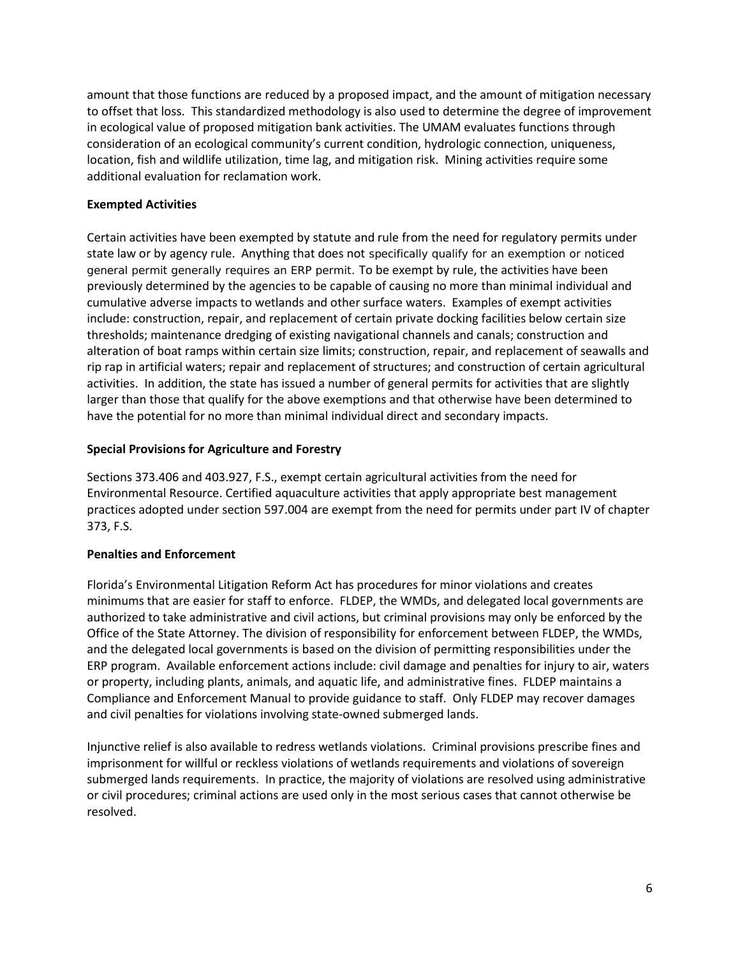amount that those functions are reduced by a proposed impact, and the amount of mitigation necessary to offset that loss. This standardized methodology is also used to determine the degree of improvement in ecological value of proposed mitigation bank activities. The UMAM evaluates functions through consideration of an ecological community's current condition, hydrologic connection, uniqueness, location, fish and wildlife utilization, time lag, and mitigation risk. Mining activities require some additional evaluation for reclamation work.

## **Exempted Activities**

Certain activities have been exempted by statute and rule from the need for regulatory permits under state law or by agency rule. Anything that does not specifically qualify for an exemption or noticed general permit generally requires an ERP permit. To be exempt by rule, the activities have been previously determined by the agencies to be capable of causing no more than minimal individual and cumulative adverse impacts to wetlands and other surface waters. Examples of exempt activities include: construction, repair, and replacement of certain private docking facilities below certain size thresholds; maintenance dredging of existing navigational channels and canals; construction and alteration of boat ramps within certain size limits; construction, repair, and replacement of seawalls and rip rap in artificial waters; repair and replacement of structures; and construction of certain agricultural activities. In addition, the state has issued a number of general permits for activities that are slightly larger than those that qualify for the above exemptions and that otherwise have been determined to have the potential for no more than minimal individual direct and secondary impacts.

## **Special Provisions for Agriculture and Forestry**

Sections 373.406 and 403.927, F.S., exempt certain agricultural activities from the need for Environmental Resource. Certified aquaculture activities that apply appropriate best management practices adopted under section 597.004 are exempt from the need for permits under part IV of chapter 373, F.S.

## **Penalties and Enforcement**

Florida's Environmental Litigation Reform Act has procedures for minor violations and creates minimums that are easier for staff to enforce. FLDEP, the WMDs, and delegated local governments are authorized to take administrative and civil actions, but criminal provisions may only be enforced by the Office of the State Attorney. The division of responsibility for enforcement between FLDEP, the WMDs, and the delegated local governments is based on the division of permitting responsibilities under the ERP program. Available enforcement actions include: civil damage and penalties for injury to air, waters or property, including plants, animals, and aquatic life, and administrative fines. FLDEP maintains a Compliance and Enforcement Manual to provide guidance to staff. Only FLDEP may recover damages and civil penalties for violations involving state-owned submerged lands.

Injunctive relief is also available to redress wetlands violations. Criminal provisions prescribe fines and imprisonment for willful or reckless violations of wetlands requirements and violations of sovereign submerged lands requirements. In practice, the majority of violations are resolved using administrative or civil procedures; criminal actions are used only in the most serious cases that cannot otherwise be resolved.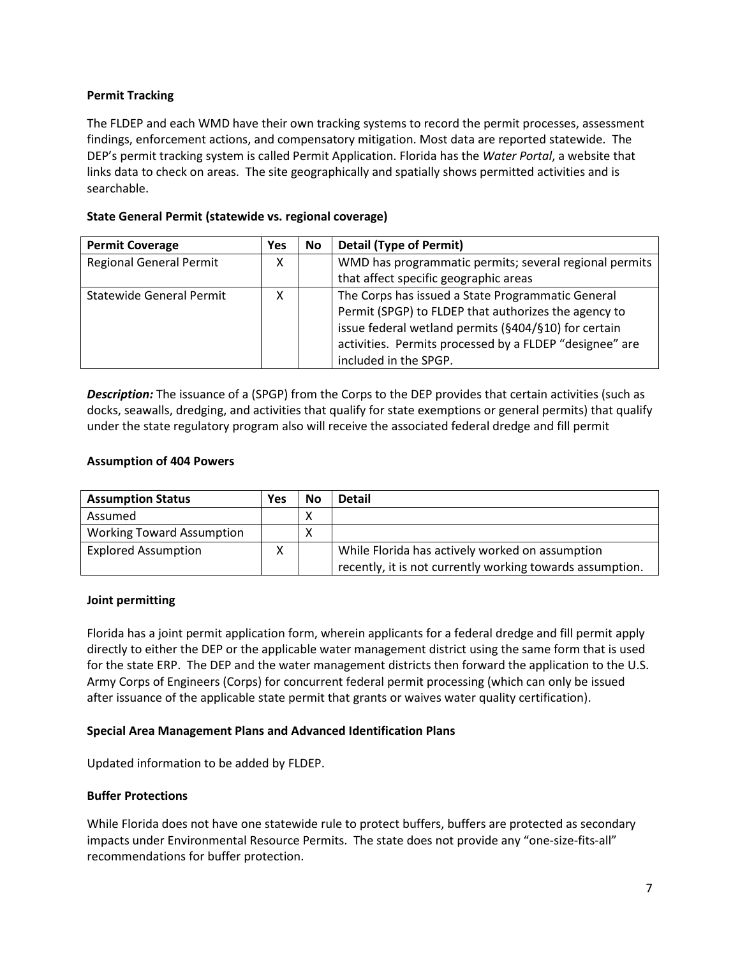## **Permit Tracking**

The FLDEP and each WMD have their own tracking systems to record the permit processes, assessment findings, enforcement actions, and compensatory mitigation. Most data are reported statewide. The DEP's permit tracking system is called Permit Application. Florida has the *Water Portal*, a website that links data to check on areas. The site geographically and spatially shows permitted activities and is searchable.

## **State General Permit (statewide vs. regional coverage)**

| <b>Permit Coverage</b>         | Yes | <b>No</b> | <b>Detail (Type of Permit)</b>                          |
|--------------------------------|-----|-----------|---------------------------------------------------------|
| <b>Regional General Permit</b> | X   |           | WMD has programmatic permits; several regional permits  |
|                                |     |           | that affect specific geographic areas                   |
| Statewide General Permit       |     |           | The Corps has issued a State Programmatic General       |
|                                |     |           | Permit (SPGP) to FLDEP that authorizes the agency to    |
|                                |     |           | issue federal wetland permits (§404/§10) for certain    |
|                                |     |           | activities. Permits processed by a FLDEP "designee" are |
|                                |     |           | included in the SPGP.                                   |

*Description:* The issuance of a (SPGP) from the Corps to the DEP provides that certain activities (such as docks, seawalls, dredging, and activities that qualify for state exemptions or general permits) that qualify under the state regulatory program also will receive the associated federal dredge and fill permit

### **Assumption of 404 Powers**

| <b>Assumption Status</b>         | Yes | <b>No</b> | <b>Detail</b>                                             |
|----------------------------------|-----|-----------|-----------------------------------------------------------|
| Assumed                          |     | Χ         |                                                           |
| <b>Working Toward Assumption</b> |     | Χ         |                                                           |
| <b>Explored Assumption</b>       | Χ   |           | While Florida has actively worked on assumption           |
|                                  |     |           | recently, it is not currently working towards assumption. |

### **Joint permitting**

Florida has a joint permit application form, wherein applicants for a federal dredge and fill permit apply directly to either the DEP or the applicable water management district using the same form that is used for the state ERP. The DEP and the water management districts then forward the application to the U.S. Army Corps of Engineers (Corps) for concurrent federal permit processing (which can only be issued after issuance of the applicable state permit that grants or waives water quality certification).

### **Special Area Management Plans and Advanced Identification Plans**

Updated information to be added by FLDEP.

### **Buffer Protections**

While Florida does not have one statewide rule to protect buffers, buffers are protected as secondary impacts under Environmental Resource Permits. The state does not provide any "one-size-fits-all" recommendations for buffer protection.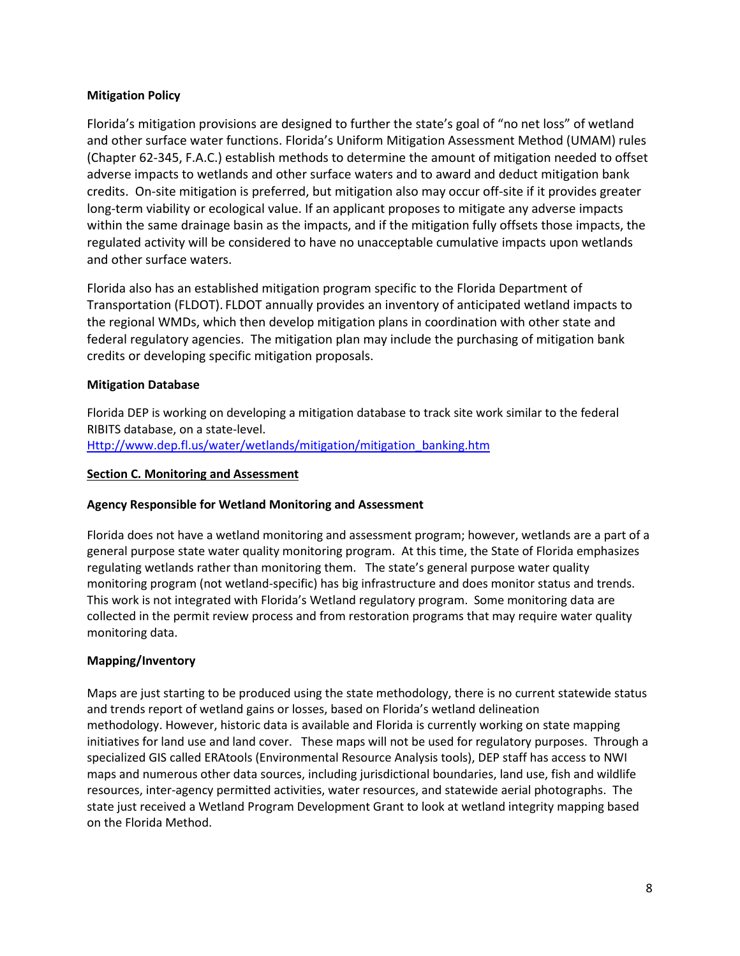## **Mitigation Policy**

Florida's mitigation provisions are designed to further the state's goal of "no net loss" of wetland and other surface water functions. Florida's Uniform Mitigation Assessment Method (UMAM) rules (Chapter 62-345, F.A.C.) establish methods to determine the amount of mitigation needed to offset adverse impacts to wetlands and other surface waters and to award and deduct mitigation bank credits. On-site mitigation is preferred, but mitigation also may occur off-site if it provides greater long-term viability or ecological value. If an applicant proposes to mitigate any adverse impacts within the same drainage basin as the impacts, and if the mitigation fully offsets those impacts, the regulated activity will be considered to have no unacceptable cumulative impacts upon wetlands and other surface waters.

Florida also has an established mitigation program specific to the Florida Department of Transportation (FLDOT). FLDOT annually provides an inventory of anticipated wetland impacts to the regional WMDs, which then develop mitigation plans in coordination with other state and federal regulatory agencies. The mitigation plan may include the purchasing of mitigation bank credits or developing specific mitigation proposals.

## **Mitigation Database**

Florida DEP is working on developing a mitigation database to track site work similar to the federal RIBITS database, on a state-level. [Http://www.dep.fl.us/water/wetlands/mitigation/mitigation\\_banking.htm](http://www.dep.fl.us/water/wetlands/mitigation/mitigation_banking.htm)

### <span id="page-7-0"></span>**Section C. Monitoring and Assessment**

### **Agency Responsible for Wetland Monitoring and Assessment**

Florida does not have a wetland monitoring and assessment program; however, wetlands are a part of a general purpose state water quality monitoring program. At this time, the State of Florida emphasizes regulating wetlands rather than monitoring them.The state's general purpose water quality monitoring program (not wetland-specific) has big infrastructure and does monitor status and trends. This work is not integrated with Florida's Wetland regulatory program. Some monitoring data are collected in the permit review process and from restoration programs that may require water quality monitoring data.

### **Mapping/Inventory**

Maps are just starting to be produced using the state methodology, there is no current statewide status and trends report of wetland gains or losses, based on Florida's wetland delineation methodology. However, historic data is available and Florida is currently working on state mapping initiatives for land use and land cover. These maps will not be used for regulatory purposes. Through a specialized GIS called ERAtools (Environmental Resource Analysis tools), DEP staff has access to NWI maps and numerous other data sources, including jurisdictional boundaries, land use, fish and wildlife resources, inter-agency permitted activities, water resources, and statewide aerial photographs. The state just received a Wetland Program Development Grant to look at wetland integrity mapping based on the Florida Method.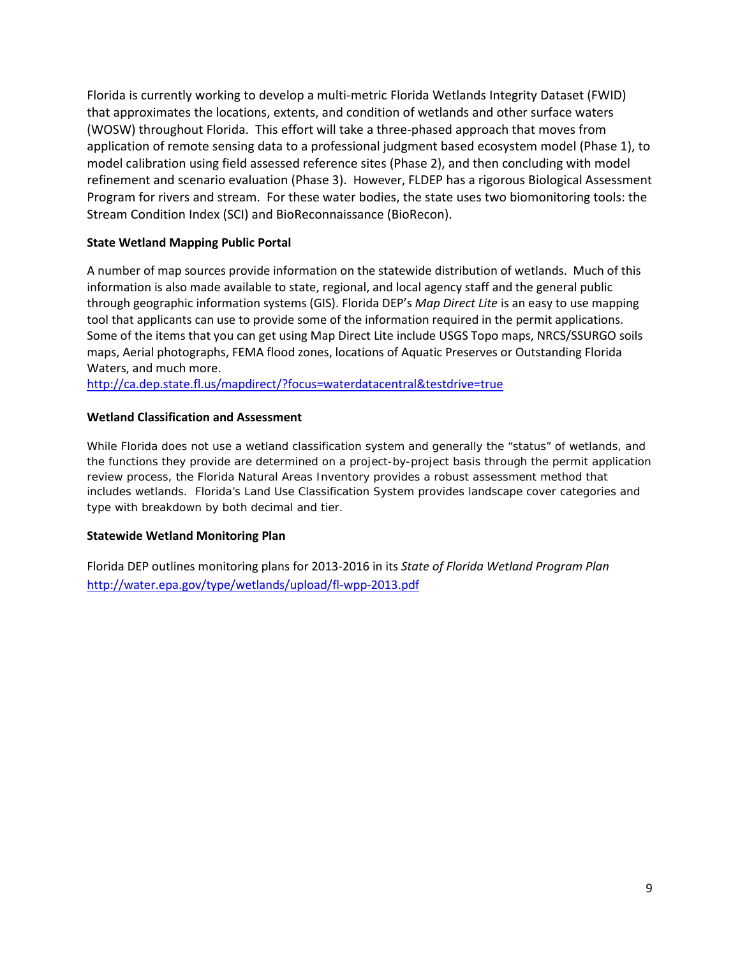Florida is currently working to develop a multi-metric Florida Wetlands Integrity Dataset (FWID) that approximates the locations, extents, and condition of wetlands and other surface waters (WOSW) throughout Florida. This effort will take a three-phased approach that moves from application of remote sensing data to a professional judgment based ecosystem model (Phase 1), to model calibration using field assessed reference sites (Phase 2), and then concluding with model refinement and scenario evaluation (Phase 3). However, FLDEP has a rigorous Biological Assessment Program for rivers and stream. For these water bodies, the state uses two biomonitoring tools: the Stream Condition Index (SCI) and BioReconnaissance (BioRecon).

## **State Wetland Mapping Public Portal**

A number of map sources provide information on the statewide distribution of wetlands. Much of this information is also made available to state, regional, and local agency staff and the general public through geographic information systems (GIS). Florida DEP's *Map Direct Lite* is an easy to use mapping tool that applicants can use to provide some of the information required in the permit applications. Some of the items that you can get using Map Direct Lite include USGS Topo maps, NRCS/SSURGO soils maps, Aerial photographs, FEMA flood zones, locations of Aquatic Preserves or Outstanding Florida Waters, and much more.

<http://ca.dep.state.fl.us/mapdirect/?focus=waterdatacentral&testdrive=true>

### **Wetland Classification and Assessment**

While Florida does not use a wetland classification system and generally the "status" of wetlands, and the functions they provide are determined on a project-by-project basis through the permit application review process, the Florida Natural Areas Inventory provides a robust assessment method that includes wetlands. Florida's Land Use Classification System provides landscape cover categories and type with breakdown by both decimal and tier.

## **Statewide Wetland Monitoring Plan**

Florida DEP outlines monitoring plans for 2013-2016 in its *State of Florida Wetland Program Plan* <http://water.epa.gov/type/wetlands/upload/fl-wpp-2013.pdf>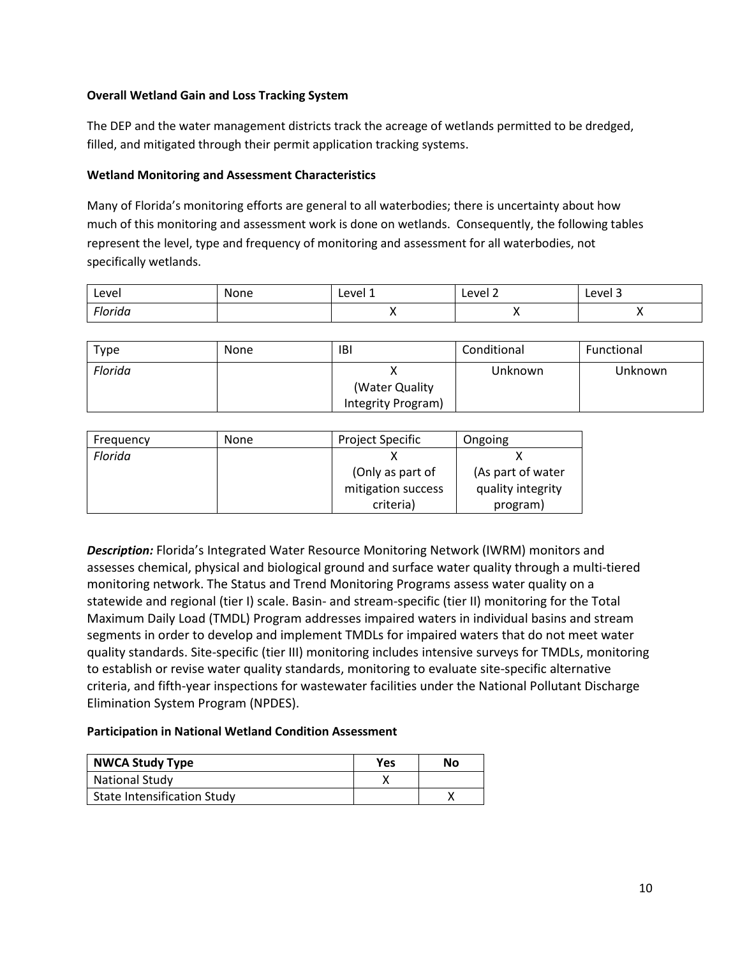## **Overall Wetland Gain and Loss Tracking System**

The DEP and the water management districts track the acreage of wetlands permitted to be dredged, filled, and mitigated through their permit application tracking systems.

## **Wetland Monitoring and Assessment Characteristics**

Many of Florida's monitoring efforts are general to all waterbodies; there is uncertainty about how much of this monitoring and assessment work is done on wetlands. Consequently, the following tables represent the level, type and frequency of monitoring and assessment for all waterbodies, not specifically wetlands.

| Level   | None | Level 1 | Level 2 | Level 3 |
|---------|------|---------|---------|---------|
| Florida |      |         |         |         |

| Type    | <b>None</b> | <b>IBI</b>         | Conditional | Functional |
|---------|-------------|--------------------|-------------|------------|
| Florida |             |                    | Unknown     | Unknown    |
|         |             | (Water Quality)    |             |            |
|         |             | Integrity Program) |             |            |

| Frequency | <b>None</b> | <b>Project Specific</b> | Ongoing           |
|-----------|-------------|-------------------------|-------------------|
| Florida   |             |                         |                   |
|           |             | (Only as part of        | (As part of water |
|           |             | mitigation success      | quality integrity |
|           |             | criteria)               | program)          |

*Description:* Florida's Integrated Water Resource Monitoring Network (IWRM) monitors and assesses chemical, physical and biological ground and surface water quality through a multi-tiered monitoring network. The Status and Trend Monitoring Programs assess water quality on a statewide and regional (tier I) scale. Basin- and stream-specific (tier II) monitoring for the Total Maximum Daily Load (TMDL) Program addresses impaired waters in individual basins and stream segments in order to develop and implement TMDLs for impaired waters that do not meet water quality standards. Site-specific (tier III) monitoring includes intensive surveys for TMDLs, monitoring to establish or revise water quality standards, monitoring to evaluate site-specific alternative criteria, and fifth-year inspections for wastewater facilities under the National Pollutant Discharge Elimination System Program (NPDES).

### **Participation in National Wetland Condition Assessment**

| <b>NWCA Study Type</b>             | Yes | No |
|------------------------------------|-----|----|
| <b>National Study</b>              |     |    |
| <b>State Intensification Study</b> |     |    |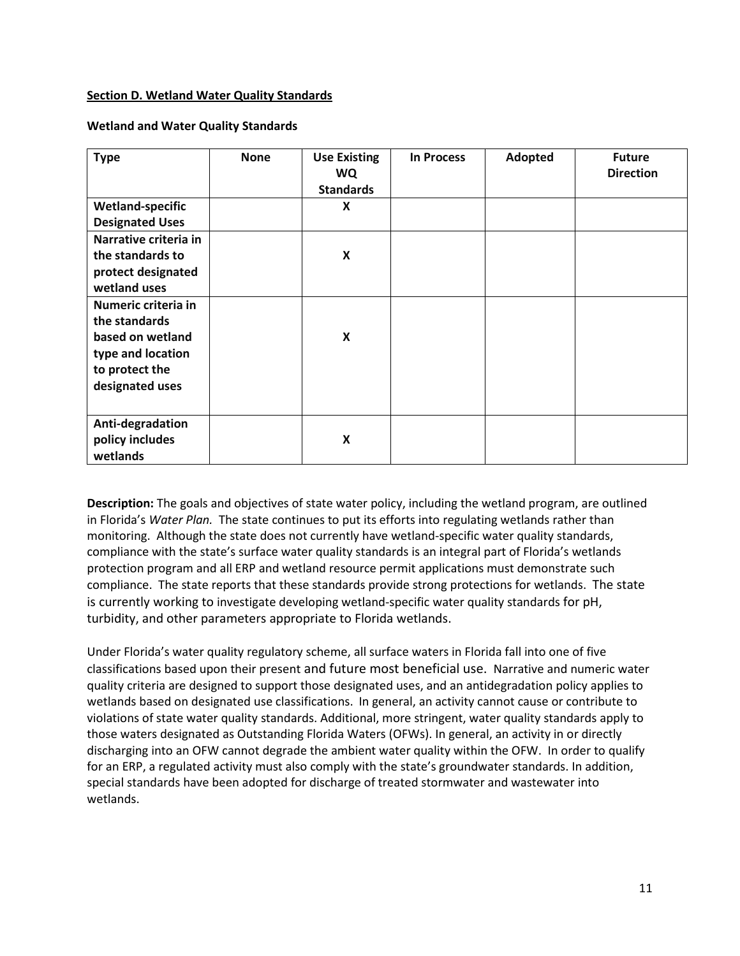### <span id="page-10-0"></span>**Section D. Wetland Water Quality Standards**

#### **Wetland and Water Quality Standards**

| <b>Type</b>             | <b>None</b> | <b>Use Existing</b><br><b>WQ</b><br><b>Standards</b> | <b>In Process</b> | Adopted | <b>Future</b><br><b>Direction</b> |
|-------------------------|-------------|------------------------------------------------------|-------------------|---------|-----------------------------------|
| <b>Wetland-specific</b> |             | $\pmb{\mathsf{X}}$                                   |                   |         |                                   |
| <b>Designated Uses</b>  |             |                                                      |                   |         |                                   |
| Narrative criteria in   |             |                                                      |                   |         |                                   |
| the standards to        |             | X                                                    |                   |         |                                   |
| protect designated      |             |                                                      |                   |         |                                   |
| wetland uses            |             |                                                      |                   |         |                                   |
| Numeric criteria in     |             |                                                      |                   |         |                                   |
| the standards           |             |                                                      |                   |         |                                   |
| based on wetland        |             | $\pmb{\mathsf{X}}$                                   |                   |         |                                   |
| type and location       |             |                                                      |                   |         |                                   |
| to protect the          |             |                                                      |                   |         |                                   |
| designated uses         |             |                                                      |                   |         |                                   |
|                         |             |                                                      |                   |         |                                   |
| Anti-degradation        |             |                                                      |                   |         |                                   |
| policy includes         |             | X                                                    |                   |         |                                   |
| wetlands                |             |                                                      |                   |         |                                   |

**Description:** The goals and objectives of state water policy, including the wetland program, are outlined in Florida's *Water Plan.* The state continues to put its efforts into regulating wetlands rather than monitoring. Although the state does not currently have wetland-specific water quality standards, compliance with the state's surface water quality standards is an integral part of Florida's wetlands protection program and all ERP and wetland resource permit applications must demonstrate such compliance. The state reports that these standards provide strong protections for wetlands. The state is currently working to investigate developing wetland-specific water quality standards for pH, turbidity, and other parameters appropriate to Florida wetlands.

Under Florida's water quality regulatory scheme, all surface waters in Florida fall into one of five classifications based upon their present and future most beneficial use. Narrative and numeric water quality criteria are designed to support those designated uses, and an antidegradation policy applies to wetlands based on designated use classifications. In general, an activity cannot cause or contribute to violations of state water quality standards. Additional, more stringent, water quality standards apply to those waters designated as Outstanding Florida Waters (OFWs). In general, an activity in or directly discharging into an OFW cannot degrade the ambient water quality within the OFW. In order to qualify for an ERP, a regulated activity must also comply with the state's groundwater standards. In addition, special standards have been adopted for discharge of treated stormwater and wastewater into wetlands.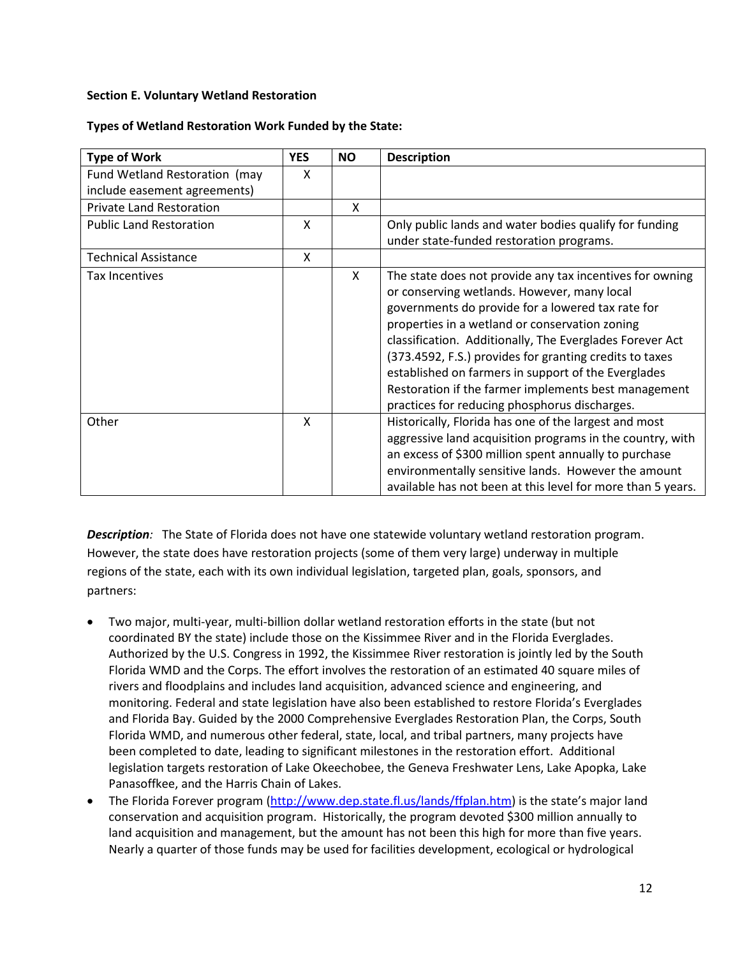## <span id="page-11-0"></span>**Section E. Voluntary Wetland Restoration**

### **Types of Wetland Restoration Work Funded by the State:**

| <b>Type of Work</b>             | <b>YES</b> | <b>NO</b> | <b>Description</b>                                                                                                                                                                                                                                                                                                                                                                                                                                                                                    |
|---------------------------------|------------|-----------|-------------------------------------------------------------------------------------------------------------------------------------------------------------------------------------------------------------------------------------------------------------------------------------------------------------------------------------------------------------------------------------------------------------------------------------------------------------------------------------------------------|
| Fund Wetland Restoration (may   | X          |           |                                                                                                                                                                                                                                                                                                                                                                                                                                                                                                       |
| include easement agreements)    |            |           |                                                                                                                                                                                                                                                                                                                                                                                                                                                                                                       |
| <b>Private Land Restoration</b> |            | X         |                                                                                                                                                                                                                                                                                                                                                                                                                                                                                                       |
| <b>Public Land Restoration</b>  | X          |           | Only public lands and water bodies qualify for funding                                                                                                                                                                                                                                                                                                                                                                                                                                                |
|                                 |            |           | under state-funded restoration programs.                                                                                                                                                                                                                                                                                                                                                                                                                                                              |
| <b>Technical Assistance</b>     | X          |           |                                                                                                                                                                                                                                                                                                                                                                                                                                                                                                       |
| <b>Tax Incentives</b>           |            | X         | The state does not provide any tax incentives for owning<br>or conserving wetlands. However, many local<br>governments do provide for a lowered tax rate for<br>properties in a wetland or conservation zoning<br>classification. Additionally, The Everglades Forever Act<br>(373.4592, F.S.) provides for granting credits to taxes<br>established on farmers in support of the Everglades<br>Restoration if the farmer implements best management<br>practices for reducing phosphorus discharges. |
| Other                           | X          |           | Historically, Florida has one of the largest and most<br>aggressive land acquisition programs in the country, with<br>an excess of \$300 million spent annually to purchase<br>environmentally sensitive lands. However the amount<br>available has not been at this level for more than 5 years.                                                                                                                                                                                                     |

*Description:* The State of Florida does not have one statewide voluntary wetland restoration program. However, the state does have restoration projects (some of them very large) underway in multiple regions of the state, each with its own individual legislation, targeted plan, goals, sponsors, and partners:

- Two major, multi-year, multi-billion dollar wetland restoration efforts in the state (but not coordinated BY the state) include those on the Kissimmee River and in the Florida Everglades. Authorized by the U.S. Congress in 1992, the Kissimmee River restoration is jointly led by the South Florida WMD and the Corps. The effort involves the restoration of an estimated 40 square miles of rivers and floodplains and includes land acquisition, advanced science and engineering, and monitoring. Federal and state legislation have also been established to restore Florida's Everglades and Florida Bay. Guided by the 2000 Comprehensive Everglades Restoration Plan, the Corps, South Florida WMD, and numerous other federal, state, local, and tribal partners, many projects have been completed to date, leading to significant milestones in the restoration effort. Additional legislation targets restoration of Lake Okeechobee, the Geneva Freshwater Lens, Lake Apopka, Lake Panasoffkee, and the Harris Chain of Lakes.
- The Florida Forever program [\(http://www.dep.state.fl.us/lands/ffplan.htm\)](http://www.dep.state.fl.us/lands/ffplan.htm) is the state's major land conservation and acquisition program. Historically, the program devoted \$300 million annually to land acquisition and management, but the amount has not been this high for more than five years. Nearly a quarter of those funds may be used for facilities development, ecological or hydrological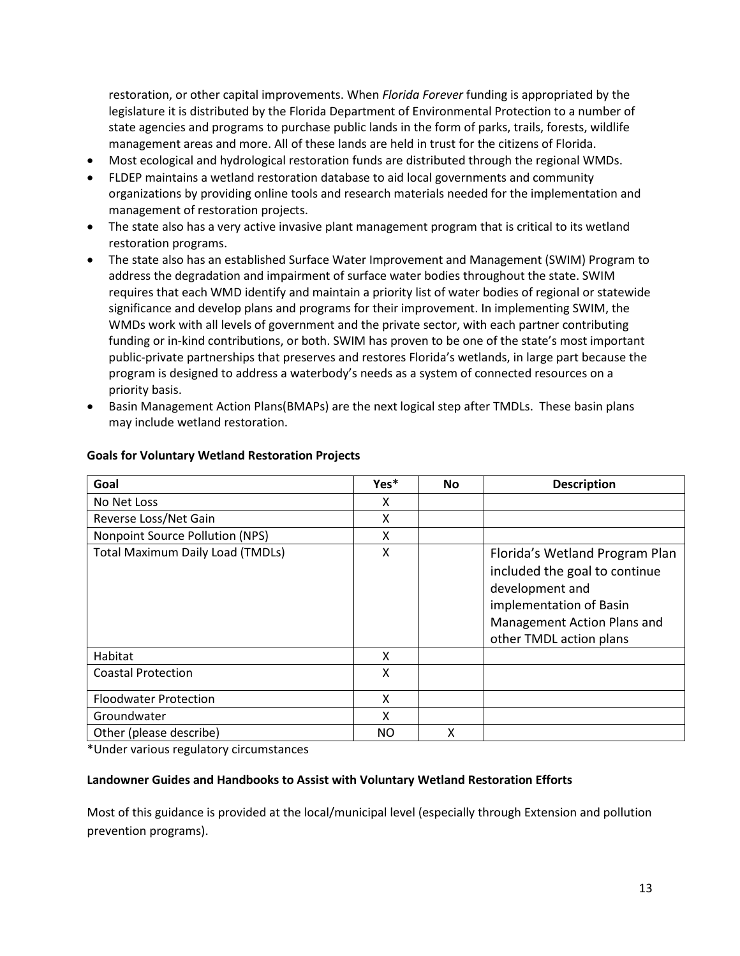restoration, or other capital improvements. When *Florida Forever* funding is appropriated by the legislature it is distributed by the Florida Department of Environmental Protection to a number of state agencies and programs to purchase public lands in the form of parks, trails, forests, wildlife management areas and more. All of these lands are held in trust for the citizens of Florida.

- Most ecological and hydrological restoration funds are distributed through the regional WMDs.
- FLDEP maintains a wetland restoration database to aid local governments and community organizations by providing online tools and research materials needed for the implementation and management of restoration projects.
- The state also has a very active invasive plant management program that is critical to its wetland restoration programs.
- The state also has an established Surface Water Improvement and Management (SWIM) Program to address the degradation and impairment of surface water bodies throughout the state. SWIM requires that each WMD identify and maintain a priority list of water bodies of regional or statewide significance and develop plans and programs for their improvement. In implementing SWIM, the WMDs work with all levels of government and the private sector, with each partner contributing funding or in-kind contributions, or both. SWIM has proven to be one of the state's most important public-private partnerships that preserves and restores Florida's wetlands, in large part because the program is designed to address a waterbody's needs as a system of connected resources on a priority basis.
- Basin Management Action Plans(BMAPs) are the next logical step after TMDLs. These basin plans may include wetland restoration.

| Goal                                    | Yes* | <b>No</b> | <b>Description</b>                                                                                                                                                      |
|-----------------------------------------|------|-----------|-------------------------------------------------------------------------------------------------------------------------------------------------------------------------|
| No Net Loss                             | x    |           |                                                                                                                                                                         |
| Reverse Loss/Net Gain                   | x    |           |                                                                                                                                                                         |
| Nonpoint Source Pollution (NPS)         | X    |           |                                                                                                                                                                         |
| <b>Total Maximum Daily Load (TMDLs)</b> | X    |           | Florida's Wetland Program Plan<br>included the goal to continue<br>development and<br>implementation of Basin<br>Management Action Plans and<br>other TMDL action plans |
| Habitat                                 | X    |           |                                                                                                                                                                         |
| <b>Coastal Protection</b>               | x    |           |                                                                                                                                                                         |
| <b>Floodwater Protection</b>            | X    |           |                                                                                                                                                                         |
| Groundwater                             | x    |           |                                                                                                                                                                         |
| Other (please describe)                 | NO   | Χ         |                                                                                                                                                                         |

### **Goals for Voluntary Wetland Restoration Projects**

\*Under various regulatory circumstances

### **Landowner Guides and Handbooks to Assist with Voluntary Wetland Restoration Efforts**

Most of this guidance is provided at the local/municipal level (especially through Extension and pollution prevention programs).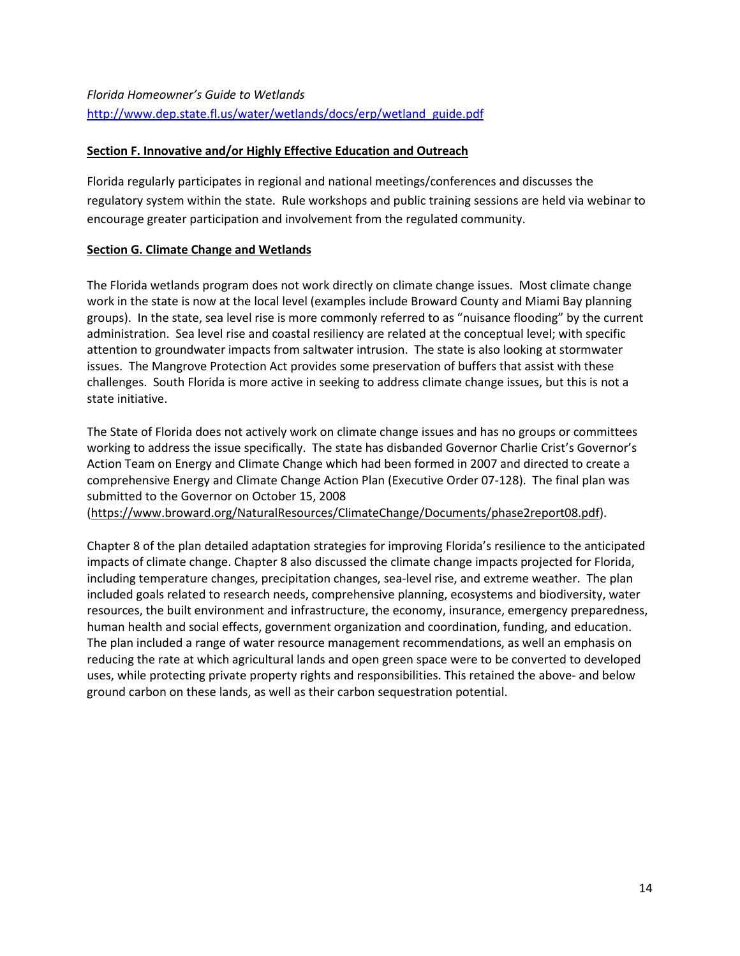## <span id="page-13-0"></span>**Section F. Innovative and/or Highly Effective Education and Outreach**

Florida regularly participates in regional and national meetings/conferences and discusses the regulatory system within the state. Rule workshops and public training sessions are held via webinar to encourage greater participation and involvement from the regulated community.

## **Section G. Climate Change and Wetlands**

The Florida wetlands program does not work directly on climate change issues. Most climate change work in the state is now at the local level (examples include Broward County and Miami Bay planning groups). In the state, sea level rise is more commonly referred to as "nuisance flooding" by the current administration. Sea level rise and coastal resiliency are related at the conceptual level; with specific attention to groundwater impacts from saltwater intrusion. The state is also looking at stormwater issues. The Mangrove Protection Act provides some preservation of buffers that assist with these challenges. South Florida is more active in seeking to address climate change issues, but this is not a state initiative.

The State of Florida does not actively work on climate change issues and has no groups or committees working to address the issue specifically. The state has disbanded Governor Charlie Crist's Governor's Action Team on Energy and Climate Change which had been formed in 2007 and directed to create a comprehensive Energy and Climate Change Action Plan [\(Executive Order 07-128\)](http://www.georgetownclimate.org/resources/florida-executive-order-07-128). The final plan was submitted to the Governor on October 15, 2008

[\(https://www.broward.org/NaturalResources/ClimateChange/Documents/phase2report08.pdf\)](https://www.broward.org/NaturalResources/ClimateChange/Documents/phase2report08.pdf).

Chapter 8 of the plan detailed adaptation strategies for improving Florida's resilience to the anticipated impacts of climate change. Chapter 8 also discussed the climate change impacts projected for Florida, including temperature changes, precipitation changes, sea-level rise, and extreme weather. The plan included goals related to research needs, comprehensive planning, ecosystems and biodiversity, water resources, the built environment and infrastructure, the economy, insurance, emergency preparedness, human health and social effects, government organization and coordination, funding, and education. The plan included a range of water resource management recommendations, as well an emphasis on reducing the rate at which agricultural lands and open green space were to be converted to developed uses, while protecting private property rights and responsibilities. This retained the above- and below ground carbon on these lands, as well as their carbon sequestration potential.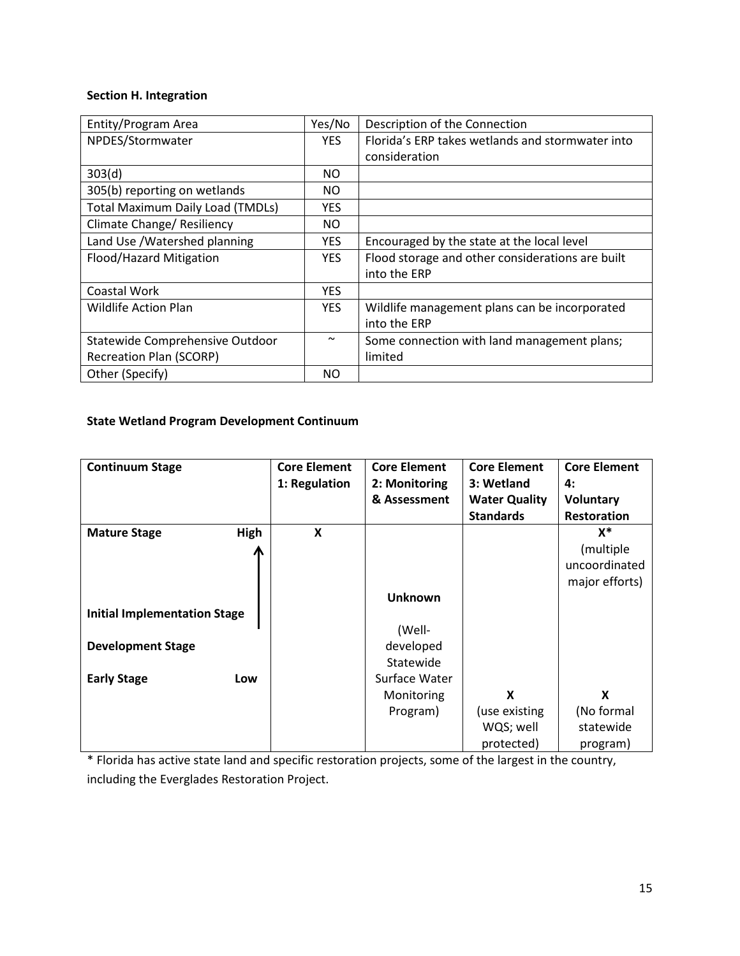# <span id="page-14-0"></span>**Section H. Integration**

| Entity/Program Area                     | Yes/No                | Description of the Connection                    |
|-----------------------------------------|-----------------------|--------------------------------------------------|
| NPDES/Stormwater                        | <b>YES</b>            | Florida's ERP takes wetlands and stormwater into |
|                                         |                       | consideration                                    |
| 303(d)                                  | NO.                   |                                                  |
| 305(b) reporting on wetlands            | NO.                   |                                                  |
| <b>Total Maximum Daily Load (TMDLs)</b> | <b>YES</b>            |                                                  |
| Climate Change/ Resiliency              | NO.                   |                                                  |
| Land Use / Watershed planning           | YES.                  | Encouraged by the state at the local level       |
| Flood/Hazard Mitigation                 | <b>YES</b>            | Flood storage and other considerations are built |
|                                         |                       | into the ERP                                     |
| Coastal Work                            | <b>YES</b>            |                                                  |
| <b>Wildlife Action Plan</b>             | <b>YES</b>            | Wildlife management plans can be incorporated    |
|                                         |                       | into the ERP                                     |
| Statewide Comprehensive Outdoor         | $\tilde{\phantom{a}}$ | Some connection with land management plans;      |
| <b>Recreation Plan (SCORP)</b>          |                       | limited                                          |
| Other (Specify)                         | NO.                   |                                                  |

# **State Wetland Program Development Continuum**

| <b>Continuum Stage</b>              |      | <b>Core Element</b>       | <b>Core Element</b> | <b>Core Element</b>  | <b>Core Element</b> |
|-------------------------------------|------|---------------------------|---------------------|----------------------|---------------------|
|                                     |      | 1: Regulation             | 2: Monitoring       | 3: Wetland           | 4:                  |
|                                     |      |                           | & Assessment        | <b>Water Quality</b> | <b>Voluntary</b>    |
|                                     |      |                           |                     | <b>Standards</b>     | <b>Restoration</b>  |
| <b>Mature Stage</b>                 | High | $\boldsymbol{\mathsf{X}}$ |                     |                      | $X^*$               |
|                                     |      |                           |                     |                      | (multiple)          |
|                                     |      |                           |                     |                      | uncoordinated       |
|                                     |      |                           |                     |                      | major efforts)      |
|                                     |      |                           | <b>Unknown</b>      |                      |                     |
| <b>Initial Implementation Stage</b> |      |                           |                     |                      |                     |
|                                     |      |                           | (Well-              |                      |                     |
| <b>Development Stage</b>            |      |                           | developed           |                      |                     |
|                                     |      |                           | Statewide           |                      |                     |
| <b>Early Stage</b>                  | Low  |                           | Surface Water       |                      |                     |
|                                     |      |                           | Monitoring          | X                    | X                   |
|                                     |      |                           | Program)            | (use existing        | (No formal          |
|                                     |      |                           |                     | WQS; well            | statewide           |
|                                     |      |                           |                     | protected)           | program)            |

\* Florida has active state land and specific restoration projects, some of the largest in the country, including the Everglades Restoration Project.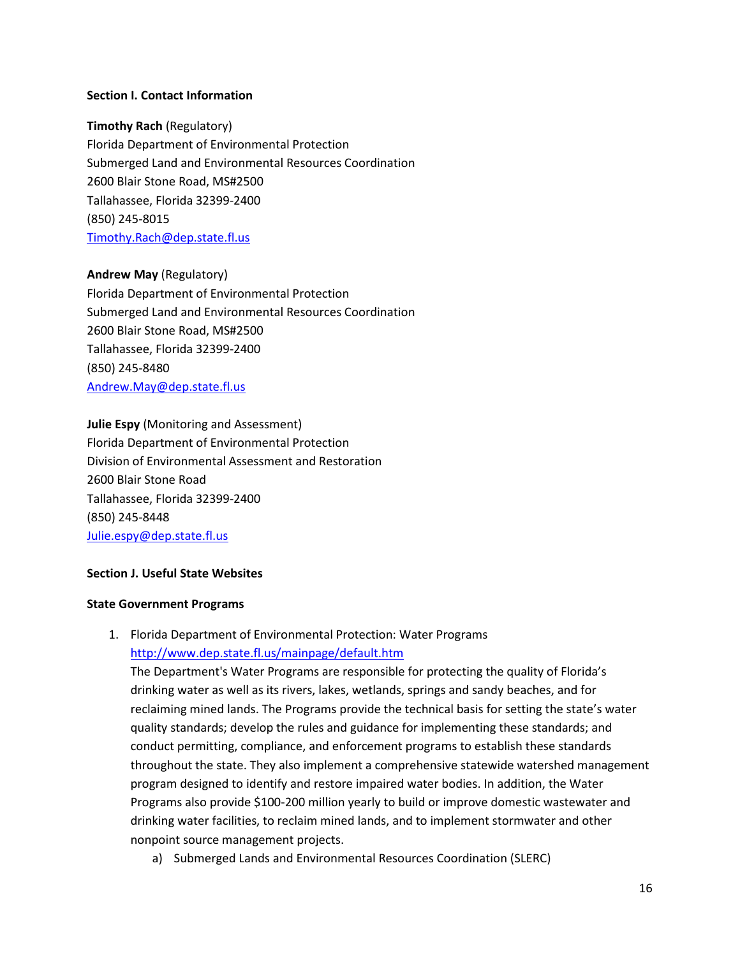#### **Section I. Contact Information**

#### **Timothy Rach** (Regulatory)

Florida Department of Environmental Protection Submerged Land and Environmental Resources Coordination 2600 Blair Stone Road, MS#2500 Tallahassee, Florida 32399-2400 (850) 245-8015 [Timothy.Rach@dep.state.fl.us](mailto:Timothy.Rach@dep.state.fl.us)

### **Andrew May** (Regulatory)

Florida Department of Environmental Protection Submerged Land and Environmental Resources Coordination 2600 Blair Stone Road, MS#2500 Tallahassee, Florida 32399-2400 (850) 245-8480 [Andrew.May@dep.state.fl.us](mailto:Andrew.May@dep.state.fl.us)

#### **Julie Espy** (Monitoring and Assessment)

Florida Department of Environmental Protection Division of Environmental Assessment and Restoration 2600 Blair Stone Road Tallahassee, Florida 32399-2400 (850) 245-8448 [Julie.espy@dep.state.fl.us](mailto:Julie.espy@dep.state.fl.us)

### **Section J. Useful State Websites**

#### **State Government Programs**

## 1. Florida Department of Environmental Protection: Water Programs <http://www.dep.state.fl.us/mainpage/default.htm>

The Department's Water Programs are responsible for protecting the quality of Florida's drinking water as well as its rivers, lakes, wetlands, springs and sandy beaches, and for reclaiming mined lands. The Programs provide the technical basis for setting the state's water quality standards; develop the rules and guidance for implementing these standards; and conduct permitting, compliance, and enforcement programs to establish these standards throughout the state. They also implement a comprehensive statewide watershed management program designed to identify and restore impaired water bodies. In addition, the Water Programs also provide \$100-200 million yearly to build or improve domestic wastewater and drinking water facilities, to reclaim mined lands, and to implement stormwater and other nonpoint source management projects.

a) Submerged Lands and Environmental Resources Coordination (SLERC)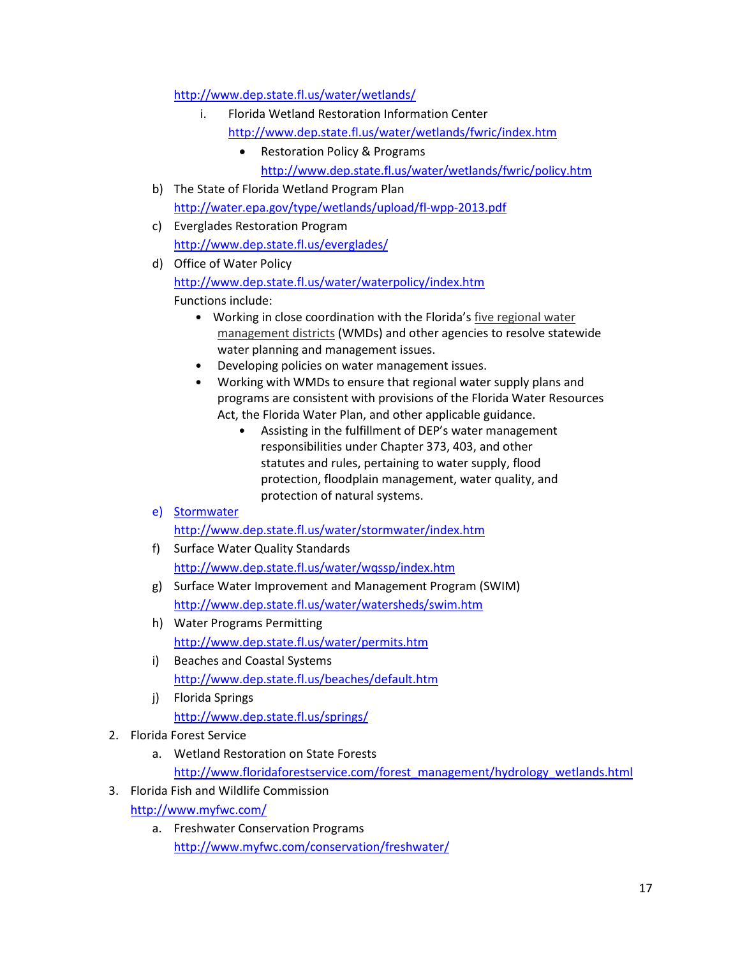<http://www.dep.state.fl.us/water/wetlands/>

- i. Florida Wetland Restoration Information Center
	- <http://www.dep.state.fl.us/water/wetlands/fwric/index.htm>
		- Restoration Policy & Programs
			- <http://www.dep.state.fl.us/water/wetlands/fwric/policy.htm>
- b) The State of Florida Wetland Program Plan <http://water.epa.gov/type/wetlands/upload/fl-wpp-2013.pdf>
- c) Everglades Restoration Program <http://www.dep.state.fl.us/everglades/>
- d) Office of Water Policy <http://www.dep.state.fl.us/water/waterpolicy/index.htm> Functions include:
	- Working in close coordination with the Florida's [five regional water](http://www.dep.state.fl.us/water/waterpolicy/districts.htm)  [management districts](http://www.dep.state.fl.us/water/waterpolicy/districts.htm) (WMDs) and other agencies to resolve statewide water planning and management issues.
	- Developing policies on water management issues.
	- Working with WMDs to ensure that regional water supply plans and programs are consistent with provisions of the Florida Water Resources Act, the Florida Water Plan, and other applicable guidance.
		- Assisting in the fulfillment of DEP's water management responsibilities under Chapter 373, 403, and other statutes and rules, pertaining to water supply, flood protection, floodplain management, water quality, and protection of natural systems.
- e) Stormwater

<http://www.dep.state.fl.us/water/stormwater/index.htm>

- f) Surface Water Quality Standards <http://www.dep.state.fl.us/water/wqssp/index.htm>
- g) Surface Water Improvement and Management Program (SWIM) <http://www.dep.state.fl.us/water/watersheds/swim.htm>
- h) Water Programs Permitting <http://www.dep.state.fl.us/water/permits.htm>
- i) Beaches and Coastal Systems <http://www.dep.state.fl.us/beaches/default.htm>
- j) Florida Springs <http://www.dep.state.fl.us/springs/>
- 2. Florida Forest Service
	- a. Wetland Restoration on State Forests [http://www.floridaforestservice.com/forest\\_management/hydrology\\_wetlands.html](http://www.floridaforestservice.com/forest_management/hydrology_wetlands.html)
- 3. Florida Fish and Wildlife Commission <http://www.myfwc.com/>
	- a. Freshwater Conservation Programs <http://www.myfwc.com/conservation/freshwater/>